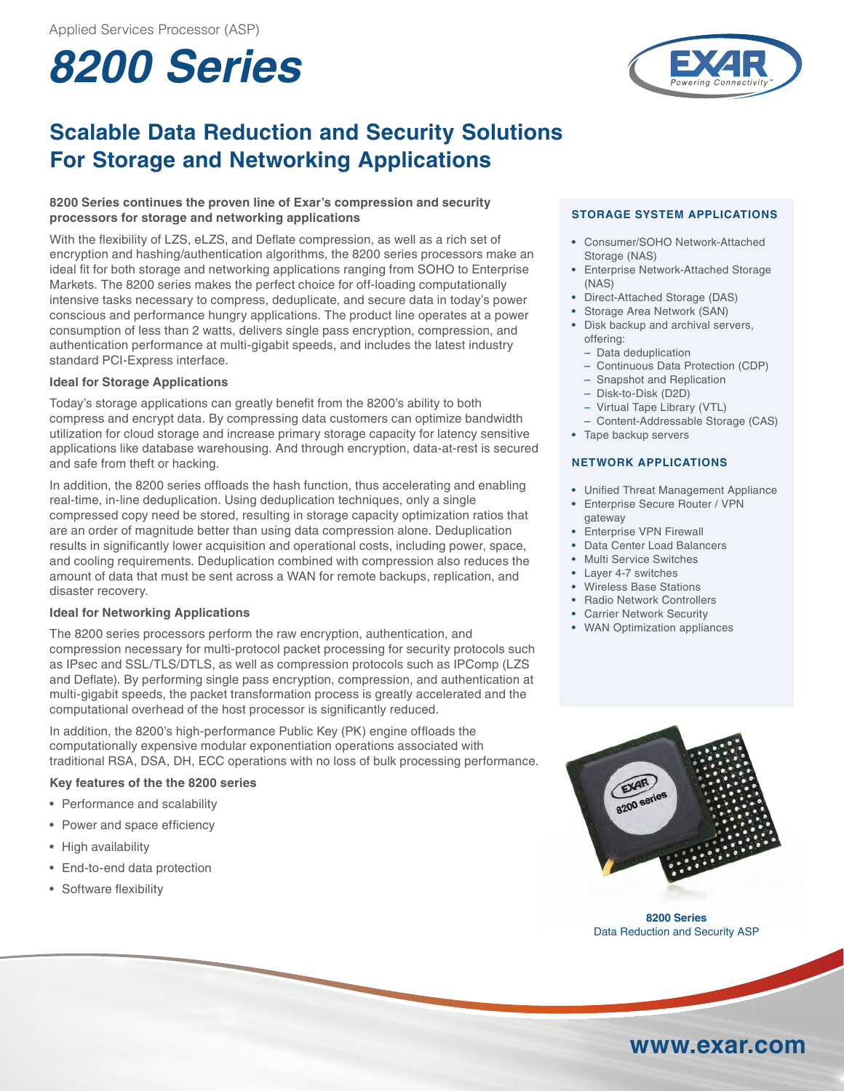# **8200 Series**

## **Scalable Data Reduction and Security Solutions For Storage and Networking Applications**

#### **8200 Series continues the proven line of Exar's compression and security processors for storage and networking applications**

With the flexibility of LZS, eLZS, and Deflate compression, as well as a rich set of encryption and hashing/authentication algorithms, the 8200 series processors make an ideal fit for both storage and networking applications ranging from SOHO to Enterprise Markets. The 8200 series makes the perfect choice for off-loading computationally intensive tasks necessary to compress, deduplicate, and secure data in today's power conscious and performance hungry applications. The product line operates at a power consumption of less than 2 watts, delivers single pass encryption, compression, and authentication performance at multi-gigabit speeds, and includes the latest industry standard PCI-Express interface.

### **Ideal for Storage Applications**

Today's storage applications can greatly benefit from the 8200's ability to both compress and encrypt data. By compressing data customers can optimize bandwidth utilization for cloud storage and increase primary storage capacity for latency sensitive applications like database warehousing. And through encryption, data-at-rest is secured and safe from theft or hacking.

In addition, the 8200 series offloads the hash function, thus accelerating and enabling real-time, in-line deduplication. Using deduplication techniques, only a single compressed copy need be stored, resulting in storage capacity optimization ratios that are an order of magnitude better than using data compression alone. Deduplication results in significantly lower acquisition and operational costs, including power, space, and cooling requirements. Deduplication combined with compression also reduces the amount of data that must be sent across a WAN for remote backups, replication, and disaster recovery.

#### **Ideal for Networking Applications**

The 8200 series processors perform the raw encryption, authentication, and compression necessary for multi-protocol packet processing for security protocols such as IPsec and SSL/TLS/DTLS, as well as compression protocols such as IPComp (LZS and Deflate). By performing single pass encryption, compression, and authentication at multi-gigabit speeds, the packet transformation process is greatly accelerated and the computational overhead of the host processor is significantly reduced.

In addition, the 8200's high-performance Public Key (PK) engine offloads the computationally expensive modular exponentiation operations associated with traditional RSA, DSA, DH, ECC operations with no loss of bulk processing performance.

#### **Key features of the the 8200 series**

- Performance and scalability
- Power and space efficiency
- High availability
- End-to-end data protection
- Software flexibility

### **STORAGE SYSTEM APPLICATIONS**

- Consumer/SOHO Network-Attached Storage (NAS)
- Enterprise Network-Attached Storage (NAS)
- Direct-Attached Storage (DAS)
- Storage Area Network (SAN)
- Disk backup and archival servers, offering:
	- Data deduplication
	- Continuous Data Protection (CDP)
	- Snapshot and Replication
	- Disk-to-Disk (D2D)
	- Virtual Tape Library (VTL)
	- Content-Addressable Storage (CAS)
- Tape backup servers

#### **Net work APPLICATIONS**

- Unified Threat Management Appliance
- Enterprise Secure Router / VPN gateway
- Enterprise VPN Firewall
- Data Center Load Balancers
- Multi Service Switches
- Layer 4-7 switches
- Wireless Base Stations
- Radio Network Controllers • Carrier Network Security
- WAN Optimization appliances



**8200 Series** Data Reduction and Security ASP

## **www.exar.com**